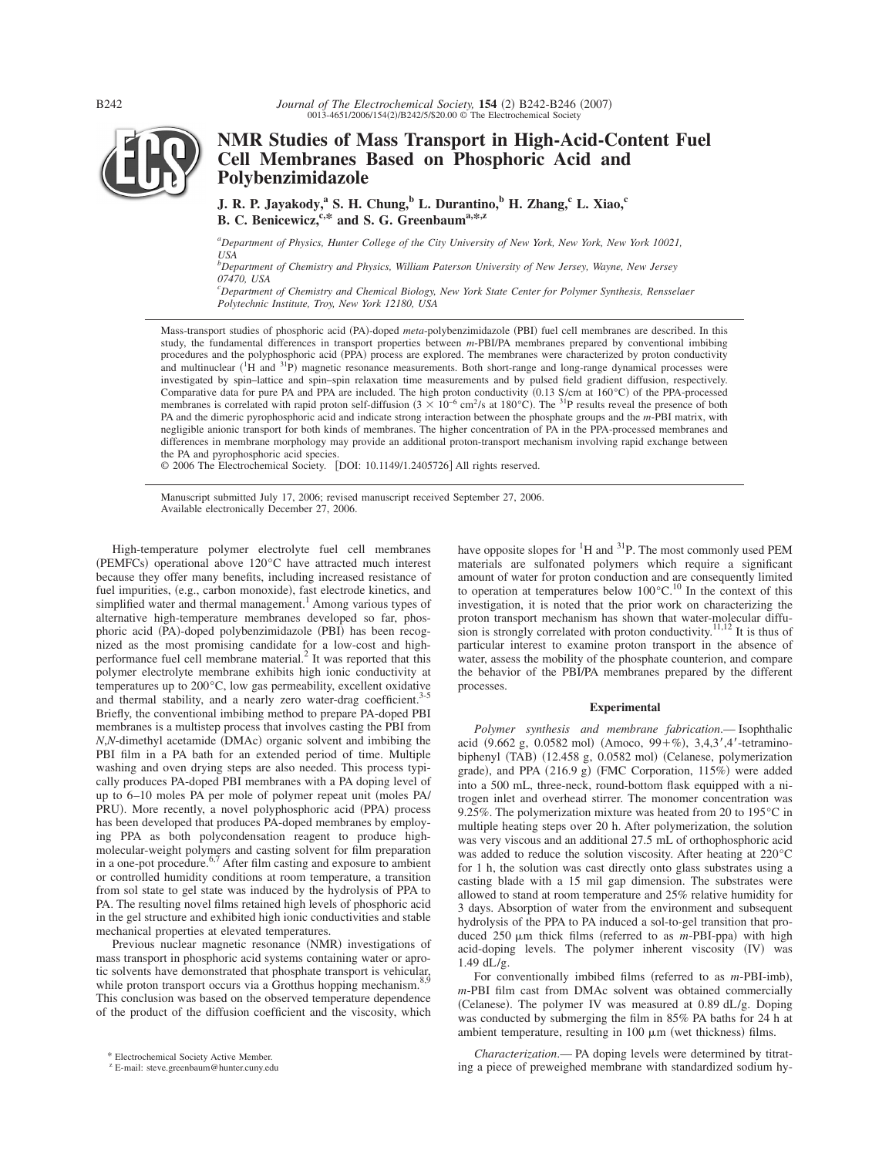

# **NMR Studies of Mass Transport in High-Acid-Content Fuel Cell Membranes Based on Phosphoric Acid and Polybenzimidazole**

**J. R. P. Jayakody,**<sup>a</sup> S. H. Chung,<sup>b</sup> L. Durantino,<sup>b</sup> H. Zhang,<sup>c</sup> L. Xiao,<sup>c</sup> **B. C. Benicewicz, <sup>c,\*</sup> and S. G. Greenbaum<sup>a,\*,z</sup>** 

*a Department of Physics, Hunter College of the City University of New York, New York, New York 10021, USA*

*b Department of Chemistry and Physics, William Paterson University of New Jersey, Wayne, New Jersey 07470, USA*

*c Department of Chemistry and Chemical Biology, New York State Center for Polymer Synthesis, Rensselaer Polytechnic Institute, Troy, New York 12180, USA*

Mass-transport studies of phosphoric acid (PA)-doped *meta*-polybenzimidazole (PBI) fuel cell membranes are described. In this study, the fundamental differences in transport properties between *m*-PBI/PA membranes prepared by conventional imbibing procedures and the polyphosphoric acid (PPA) process are explored. The membranes were characterized by proton conductivity and multinuclear  $(^{1}H$  and  $^{31}P$ ) magnetic resonance measurements. Both short-range and long-range dynamical processes were investigated by spin–lattice and spin–spin relaxation time measurements and by pulsed field gradient diffusion, respectively. Comparative data for pure PA and PPA are included. The high proton conductivity  $(0.13 \text{ S/cm at } 160^{\circ}\text{C})$  of the PPA-processed membranes is correlated with rapid proton self-diffusion  $(3 \times 10^{-6} \text{ cm}^2/\text{s} \text{ at } 180^{\circ}\text{C})$ . The <sup>31</sup>P results reveal the presence of both PA and the dimeric pyrophosphoric acid and indicate strong interaction between the phosphate groups and the *m*-PBI matrix, with negligible anionic transport for both kinds of membranes. The higher concentration of PA in the PPA-processed membranes and differences in membrane morphology may provide an additional proton-transport mechanism involving rapid exchange between the PA and pyrophosphoric acid species.

© 2006 The Electrochemical Society. [DOI: 10.1149/1.2405726] All rights reserved.

Manuscript submitted July 17, 2006; revised manuscript received September 27, 2006. Available electronically December 27, 2006.

High-temperature polymer electrolyte fuel cell membranes (PEMFCs) operational above  $120^{\circ}$ C have attracted much interest because they offer many benefits, including increased resistance of fuel impurities, (e.g., carbon monoxide), fast electrode kinetics, and simplified water and thermal management.<sup>1</sup> Among various types of alternative high-temperature membranes developed so far, phosphoric acid (PA)-doped polybenzimidazole (PBI) has been recognized as the most promising candidate for a low-cost and highperformance fuel cell membrane material.<sup>2</sup> It was reported that this polymer electrolyte membrane exhibits high ionic conductivity at temperatures up to 200°C, low gas permeability, excellent oxidative and thermal stability, and a nearly zero water-drag coefficient.<sup>3-5</sup> Briefly, the conventional imbibing method to prepare PA-doped PBI membranes is a multistep process that involves casting the PBI from *N*,*N*-dimethyl acetamide (DMAc) organic solvent and imbibing the PBI film in a PA bath for an extended period of time. Multiple washing and oven drying steps are also needed. This process typically produces PA-doped PBI membranes with a PA doping level of up to 6–10 moles PA per mole of polymer repeat unit (moles PA/ PRU). More recently, a novel polyphosphoric acid (PPA) process has been developed that produces PA-doped membranes by employing PPA as both polycondensation reagent to produce highmolecular-weight polymers and casting solvent for film preparation in a one-pot procedure. $6<sup>7</sup>$  After film casting and exposure to ambient or controlled humidity conditions at room temperature, a transition from sol state to gel state was induced by the hydrolysis of PPA to PA. The resulting novel films retained high levels of phosphoric acid in the gel structure and exhibited high ionic conductivities and stable mechanical properties at elevated temperatures.

Previous nuclear magnetic resonance (NMR) investigations of mass transport in phosphoric acid systems containing water or aprotic solvents have demonstrated that phosphate transport is vehicular, while proton transport occurs via a Grotthus hopping mechanism.<sup>8,9</sup> This conclusion was based on the observed temperature dependence of the product of the diffusion coefficient and the viscosity, which

have opposite slopes for  ${}^{1}H$  and  ${}^{31}P$ . The most commonly used PEM materials are sulfonated polymers which require a significant amount of water for proton conduction and are consequently limited<br>to operation at temperatures below  $100^{\circ}C$ .<sup>10</sup> In the context of this investigation, it is noted that the prior work on characterizing the proton transport mechanism has shown that water-molecular diffusion is strongly correlated with proton conductivity.<sup>11,12</sup> It is thus of particular interest to examine proton transport in the absence of water, assess the mobility of the phosphate counterion, and compare the behavior of the PBI/PA membranes prepared by the different processes.

# **Experimental**

*Polymer synthesis and membrane fabrication*.— Isophthalic acid  $(9.662 \text{ g}, 0.0582 \text{ mol})$   $(Amoco, 99 + \%)$ ,  $3,4,3',4'$ -tetraminobiphenyl (TAB) (12.458 g, 0.0582 mol) (Celanese, polymerization grade), and PPA  $(216.9 \text{ g})$  (FMC Corporation,  $115\%$ ) were added into a 500 mL, three-neck, round-bottom flask equipped with a nitrogen inlet and overhead stirrer. The monomer concentration was 9.25%. The polymerization mixture was heated from 20 to 195°C in multiple heating steps over 20 h. After polymerization, the solution was very viscous and an additional 27.5 mL of orthophosphoric acid was added to reduce the solution viscosity. After heating at 220°C for 1 h, the solution was cast directly onto glass substrates using a casting blade with a 15 mil gap dimension. The substrates were allowed to stand at room temperature and 25% relative humidity for 3 days. Absorption of water from the environment and subsequent hydrolysis of the PPA to PA induced a sol-to-gel transition that produced 250  $\mu$ m thick films (referred to as *m*-PBI-ppa) with high acid-doping levels. The polymer inherent viscosity (IV) was 1.49  $dL/g$ .

For conventionally imbibed films (referred to as *m*-PBI-imb), *m*-PBI film cast from DMAc solvent was obtained commercially (Celanese). The polymer IV was measured at  $0.89$  dL/g. Doping was conducted by submerging the film in 85% PA baths for 24 h at ambient temperature, resulting in 100  $\mu$ m (wet thickness) films.

*Characterization*.— PA doping levels were determined by titrat-Electrochemical Society Active Member.<br><sup>z</sup> E-mail: steve.greenbaum@hunter.cuny.edu **is a piece of preweighed membrane with standardized sodium hy-**

<sup>z</sup> E-mail: steve.greenbaum@hunter.cuny.edu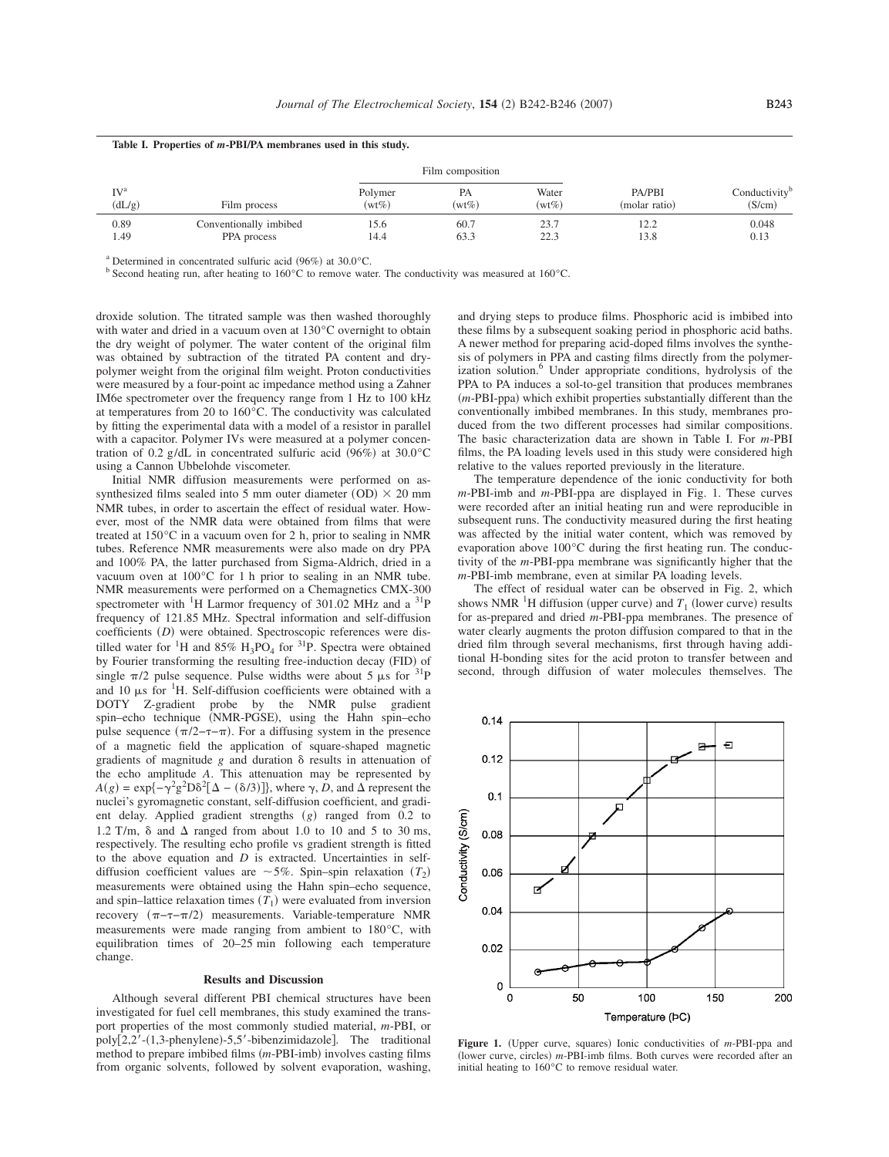|                           | Table 1. Properties of <i>m</i> -PBI/PA membranes used in this study. |                     |                |                   |                         |                                     |
|---------------------------|-----------------------------------------------------------------------|---------------------|----------------|-------------------|-------------------------|-------------------------------------|
| IV <sup>a</sup><br>(dL/g) | Film process                                                          | Film composition    |                |                   |                         |                                     |
|                           |                                                                       | Polymer<br>$(wt\%)$ | РA<br>$(wt\%)$ | Water<br>$(wt\%)$ | PA/PBI<br>(molar ratio) | Conductivity <sup>t</sup><br>(S/cm) |
| 0.89<br>1.49              | Conventionally imbibed<br>PPA process                                 | 15.6<br>14.4        | 60.7<br>63.3   | 23.7<br>22.3      | 12.2<br>13.8            | 0.048<br>0.13                       |

**Table I. Properties of** *m***-PBI/PA membranes used in this study.**

<sup>a</sup> Determined in concentrated sulfuric acid  $(96%)$  at  $30.0^{\circ}$ C.<br><sup>b</sup> Second heating run, after heating to 160°C to remove water. The conductivity was measured at 160°C.

droxide solution. The titrated sample was then washed thoroughly with water and dried in a vacuum oven at 130°C overnight to obtain the dry weight of polymer. The water content of the original film was obtained by subtraction of the titrated PA content and drypolymer weight from the original film weight. Proton conductivities were measured by a four-point ac impedance method using a Zahner IM6e spectrometer over the frequency range from 1 Hz to 100 kHz at temperatures from 20 to 160°C. The conductivity was calculated by fitting the experimental data with a model of a resistor in parallel with a capacitor. Polymer IVs were measured at a polymer concentration of 0.2 g/dL in concentrated sulfuric acid (96%) at 30.0°C using a Cannon Ubbelohde viscometer.

Initial NMR diffusion measurements were performed on assynthesized films sealed into 5 mm outer diameter  $(OD) \times 20$  mm NMR tubes, in order to ascertain the effect of residual water. However, most of the NMR data were obtained from films that were treated at 150°C in a vacuum oven for 2 h, prior to sealing in NMR tubes. Reference NMR measurements were also made on dry PPA and 100% PA, the latter purchased from Sigma-Aldrich, dried in a vacuum oven at 100°C for 1 h prior to sealing in an NMR tube. NMR measurements were performed on a Chemagnetics CMX-300 spectrometer with  ${}^{1}$ H Larmor frequency of 301.02 MHz and a  ${}^{31}P$ frequency of 121.85 MHz. Spectral information and self-diffusion coefficients (*D*) were obtained. Spectroscopic references were distilled water for <sup>1</sup>H and 85% H<sub>3</sub>PO<sub>4</sub> for <sup>31</sup>P. Spectra were obtained by Fourier transforming the resulting free-induction decay (FID) of single  $\pi/2$  pulse sequence. Pulse widths were about 5  $\mu$ s for <sup>31</sup>P and 10  $\mu$ s for <sup>1</sup>H. Self-diffusion coefficients were obtained with a DOTY Z-gradient probe by the NMR pulse gradient spin–echo technique (NMR-PGSE), using the Hahn spin–echo pulse sequence  $(\pi/2-\tau-\pi)$ . For a diffusing system in the presence of a magnetic field the application of square-shaped magnetic gradients of magnitude *g* and duration & results in attenuation of the echo amplitude *A*. This attenuation may be represented by  $A(g) = \exp{-\gamma^2 g^2 D \delta^2 [\Delta - (\delta/3)]}$ , where  $\gamma$ , *D*, and  $\Delta$  represent the nuclei's gyromagnetic constant, self-diffusion coefficient, and gradient delay. Applied gradient strengths (g) ranged from 0.2 to 1.2 T/m,  $\delta$  and  $\Delta$  ranged from about 1.0 to 10 and 5 to 30 ms, respectively. The resulting echo profile vs gradient strength is fitted to the above equation and *D* is extracted. Uncertainties in selfdiffusion coefficient values are  $\sim$  5%. Spin–spin relaxation  $(T_2)$ measurements were obtained using the Hahn spin–echo sequence, and spin–lattice relaxation times  $(T_1)$  were evaluated from inversion recovery  $(\pi-\tau-\pi/2)$  measurements. Variable-temperature NMR measurements were made ranging from ambient to 180°C, with equilibration times of 20–25 min following each temperature change.

# **Results and Discussion**

Although several different PBI chemical structures have been investigated for fuel cell membranes, this study examined the transport properties of the most commonly studied material, *m*-PBI, or poly[2,2'-(1,3-phenylene)-5,5'-bibenzimidazole]. The traditional method to prepare imbibed films (*m*-PBI-imb) involves casting films from organic solvents, followed by solvent evaporation, washing,

and drying steps to produce films. Phosphoric acid is imbibed into these films by a subsequent soaking period in phosphoric acid baths. A newer method for preparing acid-doped films involves the synthesis of polymers in PPA and casting films directly from the polymerization solution.<sup>6</sup> Under appropriate conditions, hydrolysis of the PPA to PA induces a sol-to-gel transition that produces membranes (*m*-PBI-ppa) which exhibit properties substantially different than the conventionally imbibed membranes. In this study, membranes produced from the two different processes had similar compositions. The basic characterization data are shown in Table I. For *m*-PBI films, the PA loading levels used in this study were considered high relative to the values reported previously in the literature.

The temperature dependence of the ionic conductivity for both *m*-PBI-imb and *m*-PBI-ppa are displayed in Fig. 1. These curves were recorded after an initial heating run and were reproducible in subsequent runs. The conductivity measured during the first heating was affected by the initial water content, which was removed by evaporation above 100°C during the first heating run. The conductivity of the *m*-PBI-ppa membrane was significantly higher that the *m*-PBI-imb membrane, even at similar PA loading levels.

The effect of residual water can be observed in Fig. 2, which shows NMR <sup>1</sup>H diffusion (upper curve) and  $T_1$  (lower curve) results for as-prepared and dried *m*-PBI-ppa membranes. The presence of water clearly augments the proton diffusion compared to that in the dried film through several mechanisms, first through having additional H-bonding sites for the acid proton to transfer between and second, through diffusion of water molecules themselves. The



Figure 1. (Upper curve, squares) Ionic conductivities of *m*-PBI-ppa and (lower curve, circles) *m*-PBI-imb films. Both curves were recorded after an initial heating to 160°C to remove residual water.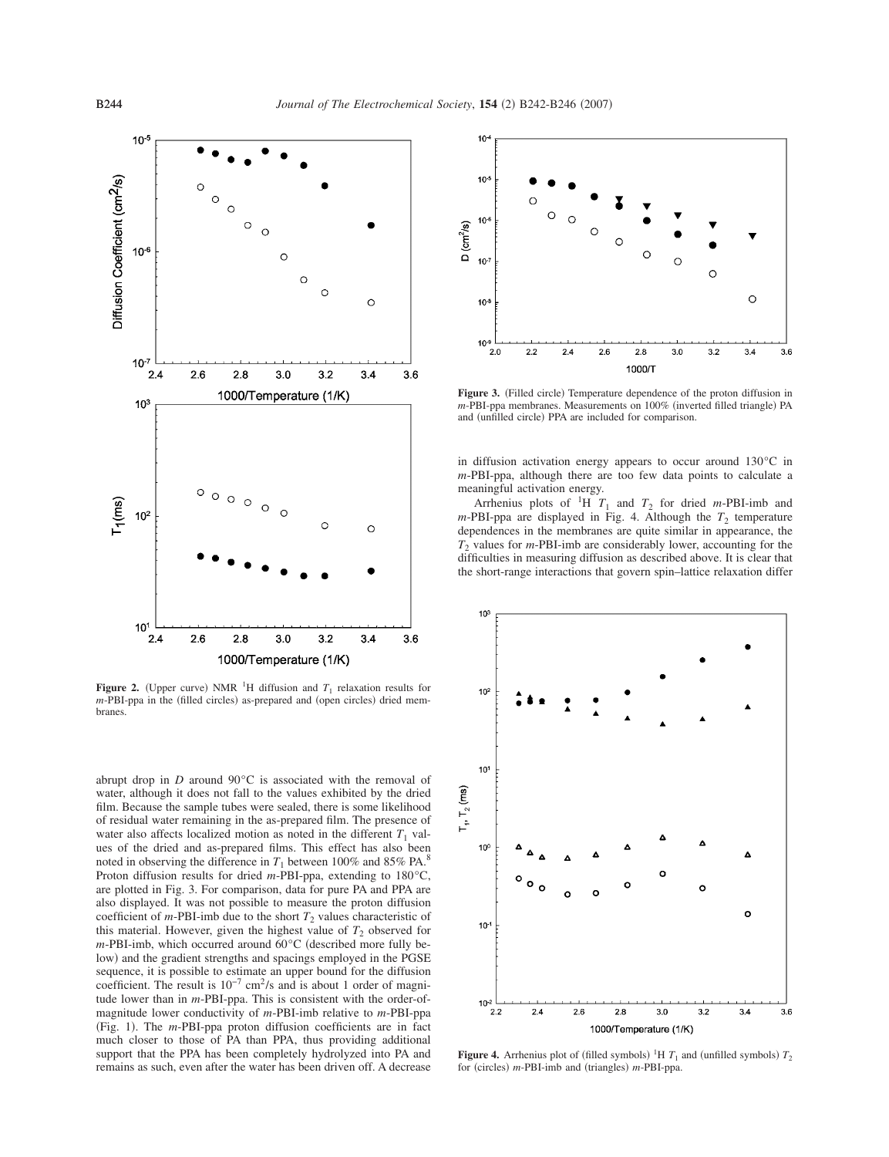

**Figure 2.** (Upper curve) NMR <sup>1</sup>H diffusion and  $T_1$  relaxation results for *m*-PBI-ppa in the (filled circles) as-prepared and (open circles) dried membranes.

abrupt drop in *D* around 90°C is associated with the removal of water, although it does not fall to the values exhibited by the dried film. Because the sample tubes were sealed, there is some likelihood of residual water remaining in the as-prepared film. The presence of water also affects localized motion as noted in the different  $T_1$  values of the dried and as-prepared films. This effect has also been noted in observing the difference in  $T_1$  between 100% and 85% PA.<sup>8</sup> Proton diffusion results for dried *m*-PBI-ppa, extending to 180°C, are plotted in Fig. 3. For comparison, data for pure PA and PPA are also displayed. It was not possible to measure the proton diffusion coefficient of  $m$ -PBI-imb due to the short  $T_2$  values characteristic of this material. However, given the highest value of  $T_2$  observed for  $m$ -PBI-imb, which occurred around  $60^{\circ}$ C (described more fully below) and the gradient strengths and spacings employed in the PGSE sequence, it is possible to estimate an upper bound for the diffusion coefficient. The result is 10−7 cm2/s and is about 1 order of magnitude lower than in *m*-PBI-ppa. This is consistent with the order-ofmagnitude lower conductivity of *m*-PBI-imb relative to *m*-PBI-ppa (Fig. 1). The *m*-PBI-ppa proton diffusion coefficients are in fact much closer to those of PA than PPA, thus providing additional support that the PPA has been completely hydrolyzed into PA and remains as such, even after the water has been driven off. A decrease



Figure 3. (Filled circle) Temperature dependence of the proton diffusion in *m*-PBI-ppa membranes. Measurements on 100% (inverted filled triangle) PA and (unfilled circle) PPA are included for comparison.

in diffusion activation energy appears to occur around 130°C in *m*-PBI-ppa, although there are too few data points to calculate a meaningful activation energy.

Arrhenius plots of  ${}^{1}H$   $T_1$  and  $T_2$  for dried *m*-PBI-imb and  $m$ -PBI-ppa are displayed in Fig. 4. Although the  $T_2$  temperature dependences in the membranes are quite similar in appearance, the *T*<sup>2</sup> values for *m*-PBI-imb are considerably lower, accounting for the difficulties in measuring diffusion as described above. It is clear that the short-range interactions that govern spin–lattice relaxation differ



**Figure 4.** Arrhenius plot of (filled symbols) <sup>1</sup>H  $T_1$  and (unfilled symbols)  $T_2$ for (circles) *m*-PBI-imb and (triangles) *m*-PBI-ppa.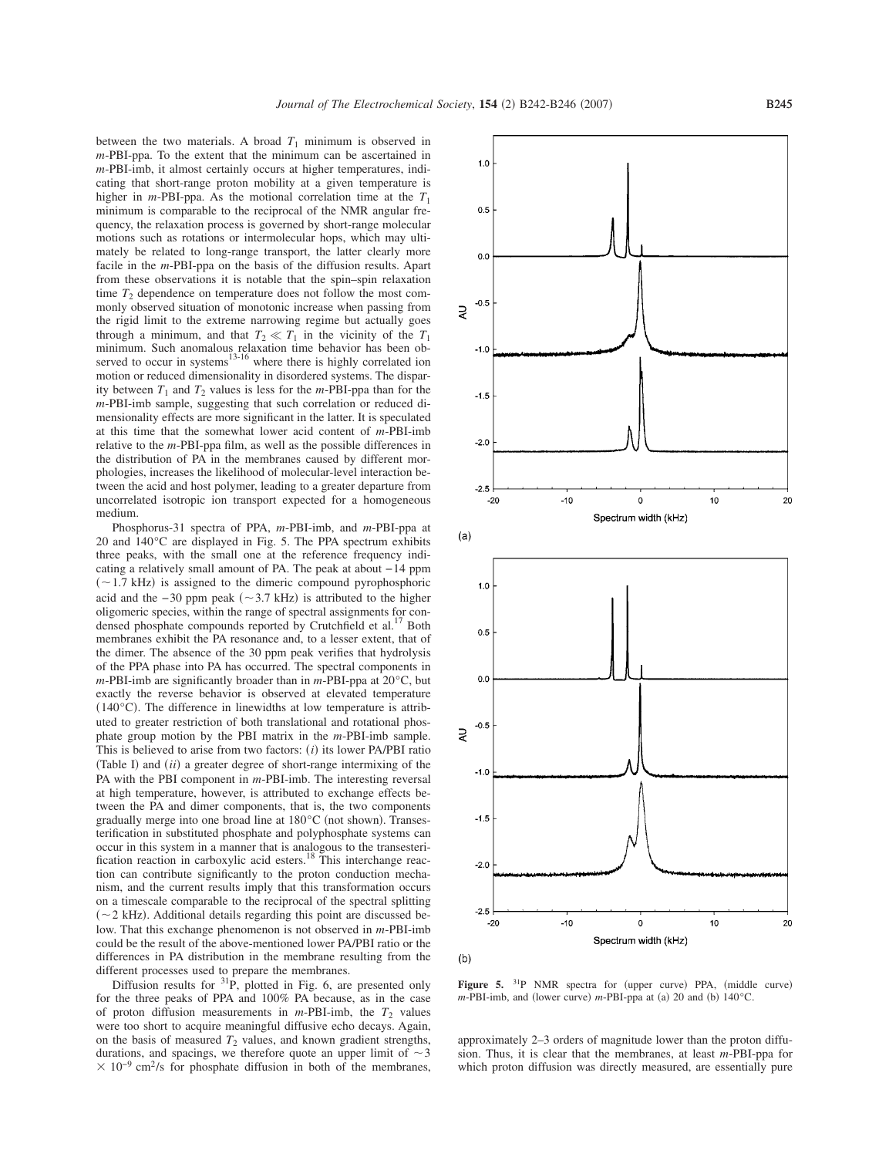between the two materials. A broad  $T_1$  minimum is observed in *m*-PBI-ppa. To the extent that the minimum can be ascertained in *m*-PBI-imb, it almost certainly occurs at higher temperatures, indicating that short-range proton mobility at a given temperature is higher in *m*-PBI-ppa. As the motional correlation time at the  $T_1$ minimum is comparable to the reciprocal of the NMR angular frequency, the relaxation process is governed by short-range molecular motions such as rotations or intermolecular hops, which may ultimately be related to long-range transport, the latter clearly more facile in the *m*-PBI-ppa on the basis of the diffusion results. Apart from these observations it is notable that the spin–spin relaxation time  $T_2$  dependence on temperature does not follow the most commonly observed situation of monotonic increase when passing from the rigid limit to the extreme narrowing regime but actually goes through a minimum, and that  $T_2 \ll T_1$  in the vicinity of the  $T_1$ minimum. Such anomalous relaxation time behavior has been observed to occur in systems<sup>13-16</sup> where there is highly correlated ion motion or reduced dimensionality in disordered systems. The disparity between  $T_1$  and  $T_2$  values is less for the *m*-PBI-ppa than for the *m*-PBI-imb sample, suggesting that such correlation or reduced dimensionality effects are more significant in the latter. It is speculated at this time that the somewhat lower acid content of *m*-PBI-imb relative to the *m*-PBI-ppa film, as well as the possible differences in the distribution of PA in the membranes caused by different morphologies, increases the likelihood of molecular-level interaction between the acid and host polymer, leading to a greater departure from uncorrelated isotropic ion transport expected for a homogeneous medium.

Phosphorus-31 spectra of PPA, *m*-PBI-imb, and *m*-PBI-ppa at 20 and 140°C are displayed in Fig. 5. The PPA spectrum exhibits three peaks, with the small one at the reference frequency indicating a relatively small amount of PA. The peak at about −14 ppm  $(-1.7 \text{ kHz})$  is assigned to the dimeric compound pyrophosphoric acid and the  $-30$  ppm peak  $(~3.7 \text{ kHz})$  is attributed to the higher oligomeric species, within the range of spectral assignments for condensed phosphate compounds reported by Crutchfield et al.<sup>17</sup> Both membranes exhibit the PA resonance and, to a lesser extent, that of the dimer. The absence of the 30 ppm peak verifies that hydrolysis of the PPA phase into PA has occurred. The spectral components in *m*-PBI-imb are significantly broader than in *m*-PBI-ppa at 20°C, but exactly the reverse behavior is observed at elevated temperature  $(140^{\circ}$ C. The difference in linewidths at low temperature is attributed to greater restriction of both translational and rotational phosphate group motion by the PBI matrix in the *m*-PBI-imb sample. This is believed to arise from two factors:  $(i)$  its lower PA/PBI ratio (Table I) and *(ii)* a greater degree of short-range intermixing of the PA with the PBI component in *m*-PBI-imb. The interesting reversal at high temperature, however, is attributed to exchange effects between the PA and dimer components, that is, the two components gradually merge into one broad line at 180°C (not shown). Transesterification in substituted phosphate and polyphosphate systems can occur in this system in a manner that is analogous to the transesteri-<br>fication reaction in carboxylic acid esters.<sup>18</sup> This interchange reaction can contribute significantly to the proton conduction mechanism, and the current results imply that this transformation occurs on a timescale comparable to the reciprocal of the spectral splitting  $(\sim 2 \text{ kHz})$ . Additional details regarding this point are discussed below. That this exchange phenomenon is not observed in *m*-PBI-imb could be the result of the above-mentioned lower PA/PBI ratio or the differences in PA distribution in the membrane resulting from the different processes used to prepare the membranes.

Diffusion results for  ${}^{31}P$ , plotted in Fig. 6, are presented only for the three peaks of PPA and 100% PA because, as in the case of proton diffusion measurements in  $m$ -PBI-imb, the  $T_2$  values were too short to acquire meaningful diffusive echo decays. Again, on the basis of measured  $T_2$  values, and known gradient strengths, durations, and spacings, we therefore quote an upper limit of  $\sim$  3  $\times$  10<sup>-9</sup> cm<sup>2</sup>/s for phosphate diffusion in both of the membranes,



Figure 5. <sup>31</sup>P NMR spectra for (upper curve) PPA, (middle curve)  $m$ -PBI-imb, and (lower curve)  $m$ -PBI-ppa at (a) 20 and (b) 140 $^{\circ}$ C.

approximately 2–3 orders of magnitude lower than the proton diffusion. Thus, it is clear that the membranes, at least *m*-PBI-ppa for which proton diffusion was directly measured, are essentially pure